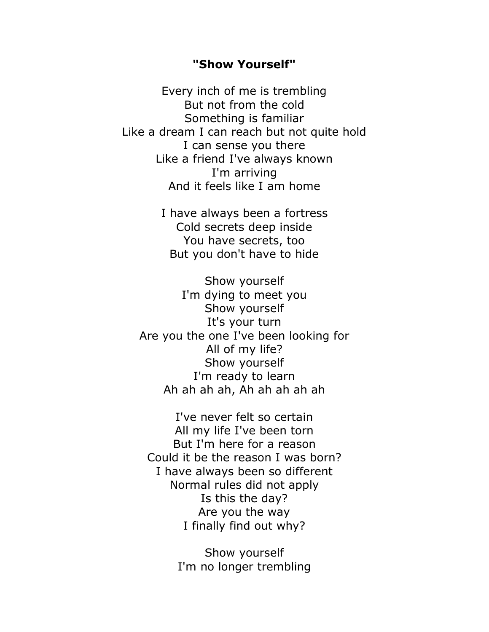## **"Show Yourself"**

Every inch of me is trembling But not from the cold Something is familiar Like a dream I can reach but not quite hold I can sense you there Like a friend I've always known I'm arriving And it feels like I am home

> I have always been a fortress Cold secrets deep inside You have secrets, too But you don't have to hide

Show yourself I'm dying to meet you Show yourself It's your turn Are you the one I've been looking for All of my life? Show yourself I'm ready to learn Ah ah ah ah, Ah ah ah ah ah

I've never felt so certain All my life I've been torn But I'm here for a reason Could it be the reason I was born? I have always been so different Normal rules did not apply Is this the day? Are you the way I finally find out why?

> Show yourself I'm no longer trembling